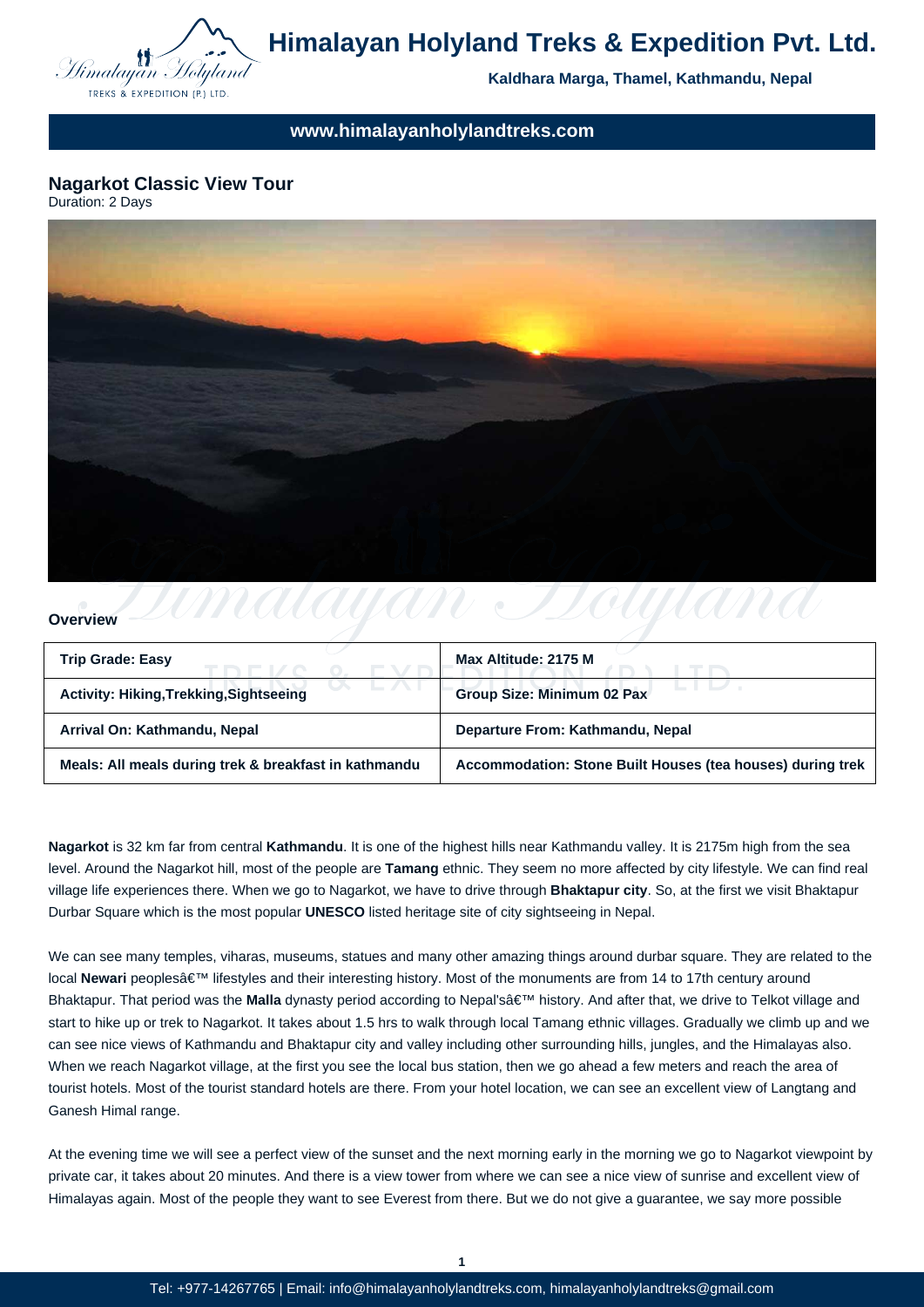

# **Himalayan Holyland Treks & Expedition Pvt. Ltd.**

**Kaldhara Marga, Thamel, Kathmandu, Nepal**

**www.himalayanholylandtreks.com**

# **Nagarkot Classic View Tour**

Duration: 2 Days



## **Overview**

| <b>Trip Grade: Easy</b>                               | Max Altitude: 2175 M                                       |
|-------------------------------------------------------|------------------------------------------------------------|
| <b>Activity: Hiking, Trekking, Sightseeing</b>        | <b>Group Size: Minimum 02 Pax</b>                          |
| Arrival On: Kathmandu, Nepal                          | Departure From: Kathmandu, Nepal                           |
| Meals: All meals during trek & breakfast in kathmandu | Accommodation: Stone Built Houses (tea houses) during trek |

**Nagarkot** is 32 km far from central **Kathmandu**. It is one of the highest hills near Kathmandu valley. It is 2175m high from the sea level. Around the Nagarkot hill, most of the people are **Tamang** ethnic. They seem no more affected by city lifestyle. We can find real village life experiences there. When we go to Nagarkot, we have to drive through **Bhaktapur city**. So, at the first we visit Bhaktapur Durbar Square which is the most popular **UNESCO** listed heritage site of city sightseeing in Nepal.

We can see many temples, viharas, museums, statues and many other amazing things around durbar square. They are related to the local Newari peoples a E<sup>TM</sup> lifestyles and their interesting history. Most of the monuments are from 14 to 17th century around Bhaktapur. That period was the **Malla** dynasty period according to Nepal'sâ€<sup>™</sup> history. And after that, we drive to Telkot village and start to hike up or trek to Nagarkot. It takes about 1.5 hrs to walk through local Tamang ethnic villages. Gradually we climb up and we can see nice views of Kathmandu and Bhaktapur city and valley including other surrounding hills, jungles, and the Himalayas also. When we reach Nagarkot village, at the first you see the local bus station, then we go ahead a few meters and reach the area of tourist hotels. Most of the tourist standard hotels are there. From your hotel location, we can see an excellent view of Langtang and Ganesh Himal range.

At the evening time we will see a perfect view of the sunset and the next morning early in the morning we go to Nagarkot viewpoint by private car, it takes about 20 minutes. And there is a view tower from where we can see a nice view of sunrise and excellent view of Himalayas again. Most of the people they want to see Everest from there. But we do not give a guarantee, we say more possible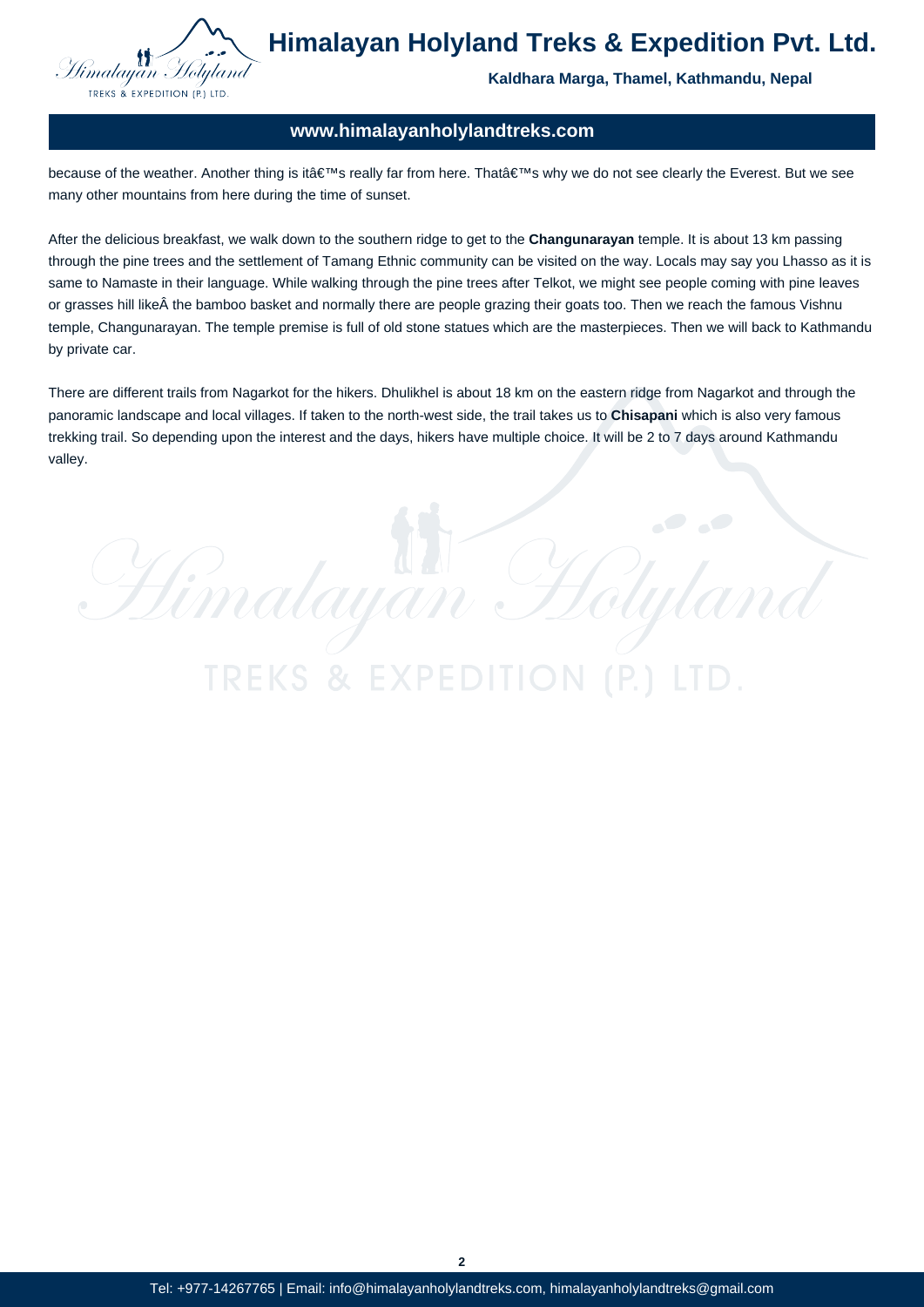

**Himalayan Holyland Treks & Expedition Pvt. Ltd.**

**Kaldhara Marga, Thamel, Kathmandu, Nepal**

ityk

# **www.himalayanholylandtreks.com**

because of the weather. Another thing is it's really far from here. That's why we do not see clearly the Everest. But we see many other mountains from here during the time of sunset.

After the delicious breakfast, we walk down to the southern ridge to get to the **Changunarayan** temple. It is about 13 km passing through the pine trees and the settlement of Tamang Ethnic community can be visited on the way. Locals may say you Lhasso as it is same to Namaste in their language. While walking through the pine trees after Telkot, we might see people coming with pine leaves or grasses hill like  $\hat{A}$  the bamboo basket and normally there are people grazing their goats too. Then we reach the famous Vishnu temple, Changunarayan. The temple premise is full of old stone statues which are the masterpieces. Then we will back to Kathmandu by private car.

There are different trails from Nagarkot for the hikers. Dhulikhel is about 18 km on the eastern ridge from Nagarkot and through the panoramic landscape and local villages. If taken to the north-west side, the trail takes us to **Chisapani** which is also very famous trekking trail. So depending upon the interest and the days, hikers have multiple choice. It will be 2 to 7 days around Kathmandu valley.

Himalayan H

**TREKS & EXPEDI** 

**2**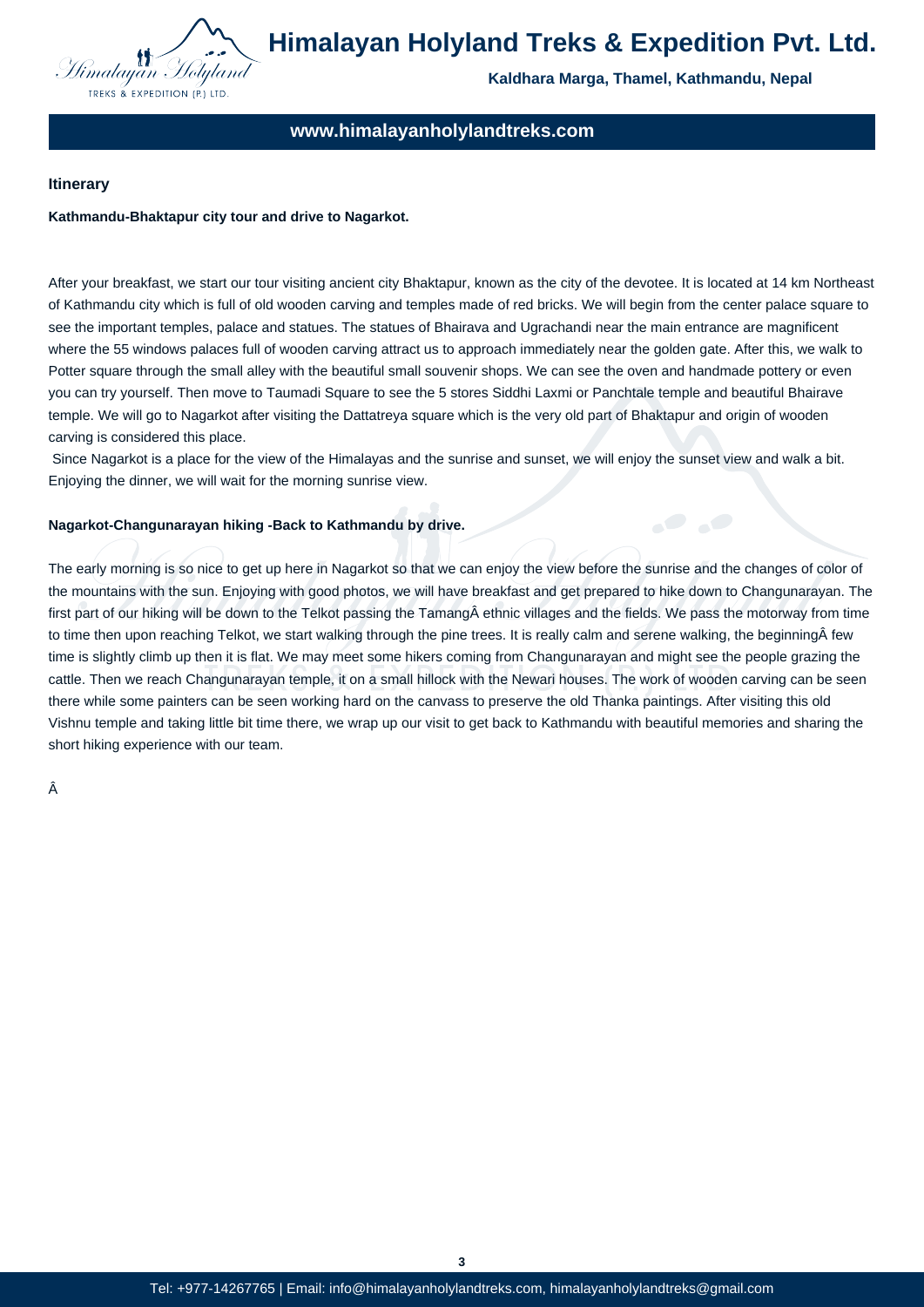

**Kaldhara Marga, Thamel, Kathmandu, Nepal**

# **www.himalayanholylandtreks.com**

#### **Itinerary**

#### **Kathmandu-Bhaktapur city tour and drive to Nagarkot.**

After your breakfast, we start our tour visiting ancient city Bhaktapur, known as the city of the devotee. It is located at 14 km Northeast of Kathmandu city which is full of old wooden carving and temples made of red bricks. We will begin from the center palace square to see the important temples, palace and statues. The statues of Bhairava and Ugrachandi near the main entrance are magnificent where the 55 windows palaces full of wooden carving attract us to approach immediately near the golden gate. After this, we walk to Potter square through the small alley with the beautiful small souvenir shops. We can see the oven and handmade pottery or even you can try yourself. Then move to Taumadi Square to see the 5 stores Siddhi Laxmi or Panchtale temple and beautiful Bhairave temple. We will go to Nagarkot after visiting the Dattatreya square which is the very old part of Bhaktapur and origin of wooden carving is considered this place.

 Since Nagarkot is a place for the view of the Himalayas and the sunrise and sunset, we will enjoy the sunset view and walk a bit. Enjoying the dinner, we will wait for the morning sunrise view.

#### **Nagarkot-Changunarayan hiking -Back to Kathmandu by drive.**

The early morning is so nice to get up here in Nagarkot so that we can enjoy the view before the sunrise and the changes of color of the mountains with the sun. Enjoying with good photos, we will have breakfast and get prepared to hike down to Changunarayan. The first part of our hiking will be down to the Telkot passing the Tamang ethnic villages and the fields. We pass the motorway from time to time then upon reaching Telkot, we start walking through the pine trees. It is really calm and serene walking, the beginning few time is slightly climb up then it is flat. We may meet some hikers coming from Changunarayan and might see the people grazing the cattle. Then we reach Changunarayan temple, it on a small hillock with the Newari houses. The work of wooden carving can be seen there while some painters can be seen working hard on the canvass to preserve the old Thanka paintings. After visiting this old Vishnu temple and taking little bit time there, we wrap up our visit to get back to Kathmandu with beautiful memories and sharing the short hiking experience with our team.

Â

**3**